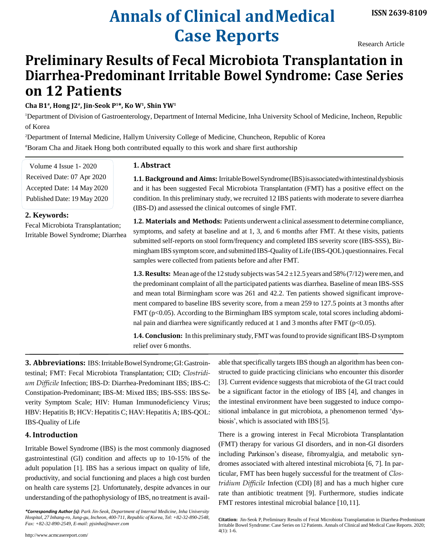# **Annals of Clinical andMedical Case Reports**

Research Article

## **Preliminary Results of Fecal Microbiota Transplantation in Diarrhea-Predominant Irritable Bowel Syndrome: Case Series on 12 Patients**

**Cha B1# , Hong J2# , Jin-Seok P<sup>1</sup> \*, Ko W<sup>1</sup> , Shin YW<sup>1</sup>**

<sup>1</sup>Department of Division of Gastroenterology, Department of Internal Medicine, Inha University School of Medicine, Incheon, Republic of Korea

<sup>2</sup>Department of Internal Medicine, Hallym University College of Medicine, Chuncheon, Republic of Korea #Boram Cha and Jitaek Hong both contributed equally to this work and share first authorship

**1. Abstract**

Volume 4 Issue 1- 2020 Received Date: 07 Apr 2020 Accepted Date: 14 May 2020 Published Date: 19 May 2020

**1.1. Background and Aims:** IrritableBowelSyndrome(IBS)isassociatedwithintestinaldysbiosis and it has been suggested Fecal Microbiota Transplantation (FMT) has a positive effect on the condition. In this preliminary study, we recruited 12 IBS patients with moderate to severe diarrhea (IBS-D) and assessed the clinical outcomes of single FMT.

#### **2. Keywords:**

Fecal Microbiota Transplantation; Irritable Bowel Syndrome; Diarrhea **1.2. Materials and Methods:** Patients underwent a clinical assessment to determine compliance, symptoms, and safety at baseline and at 1, 3, and 6 months after FMT. At these visits, patients submitted self-reports on stool form/frequency and completed IBS severity score (IBS-SSS), Birmingham IBS symptom score, and submitted IBS-Quality of Life (IBS-QOL) questionnaires. Fecal samples were collected from patients before and after FMT.

**1.3. Results:** Mean age of the 12 study subjects was  $54.2 \pm 12.5$  years and  $58\%$  (7/12) were men, and the predominant complaint of all the participated patients was diarrhea. Baseline of mean IBS-SSS and mean total Birmingham score was 261 and 42.2. Ten patients showed significant improvement compared to baseline IBS severity score, from a mean 259 to 127.5 points at 3 months after FMT (p<0.05). According to the Birmingham IBS symptom scale, total scores including abdominal pain and diarrhea were significantly reduced at 1 and 3 months after FMT (p<0.05).

**1.4. Conclusion:** In this preliminary study, FMT was found to provide significant IBS-D symptom relief over 6 months.

**3. Abbreviations:** IBS:IrritableBowelSyndrome;GI:Gastrointestinal; FMT: Fecal Microbiota Transplantation; CID; *Clostridium Difficile* Infection; IBS-D: Diarrhea-Predominant IBS; IBS-C: Constipation-Predominant; IBS-M: Mixed IBS; IBS-SSS: IBS Severity Symptom Scale; HIV: Human Immunodeficiency Virus; HBV: Hepatitis B; HCV: Hepatitis C; HAV: Hepatitis A; IBS-QOL: IBS-Quality of Life

### **4. Introduction**

Irritable Bowel Syndrome (IBS) is the most commonly diagnosed gastrointestinal (GI) condition and affects up to 10-15% of the adult population [1]. IBS has a serious impact on quality of life, productivity, and social functioning and places a high cost burden on health care systems [2]. Unfortunately, despite advances in our understanding of the pathophysiology of IBS, no treatment is avail-

*\*Corresponding Author (s): Park Jin-Seok, Department of Internal Medicine, Inha University Hospital, 27 Inhang-ro, Jung-gu, Incheon, 400-711, Republic of Korea, Tel: +82-32-890-2548, [Fax: +82-32-890-2549, E-mail: pjsinha@naver.com](mailto:pjsinha@naver.com)*

able that specifically targets IBS though an algorithm has been constructed to guide practicing clinicians who encounter this disorder [3]. Current evidence suggests that microbiota of the GI tract could be a significant factor in the etiology of IBS [4], and changes in the intestinal environment have been suggested to induce compositional imbalance in gut microbiota, a phenomenon termed 'dysbiosis', which is associated with IBS[5].

There is a growing interest in Fecal Microbiota Transplantation (FMT) therapy for various GI disorders, and in non-GI disorders including Parkinson's disease, fibromyalgia, and metabolic syndromes associated with altered intestinal microbiota [6, 7]. In particular, FMT has been hugely successful for the treatment of *Clostridium Difficile* Infection (CDI) [8] and has a much higher cure rate than antibiotic treatment [9]. Furthermore, studies indicate FMT restores intestinal microbial balance [10,11].

**Citation:** Jin-Seok P, Preliminary Results of Fecal Microbiota Transplantation in Diarrhea-Predominant Irritable Bowel Syndrome: Case Series on 12 Patients. Annals of Clinical and Medical Case Reports. 2020; 4(1): 1-6.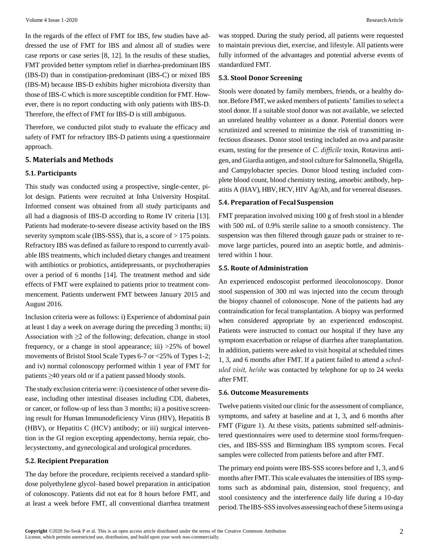In the regards of the effect of FMT for IBS, few studies have addressed the use of FMT for IBS and almost all of studies were case reports or case series [8, 12]. In the results of these studies, FMT provided better symptom relief in diarrhea-predominant IBS (IBS-D) than in constipation-predominant (IBS-C) or mixed IBS (IBS-M) because IBS-D exhibits higher microbiota diversity than those of IBS-C which is more susceptible condition for FMT. However, there is no report conducting with only patients with IBS-D. Therefore, the effect of FMT for IBS-D is still ambiguous.

Therefore, we conducted pilot study to evaluate the efficacy and safety of FMT for refractory IBS-D patients using a questionnaire approach.

#### **5. Materials and Methods**

#### **5.1. Participants**

This study was conducted using a prospective, single-center, pilot design. Patients were recruited at Inha University Hospital. Informed consent was obtained from all study participants and all had a diagnosis of IBS-D according to Rome IV criteria [13]. Patients had moderate-to-severe disease activity based on the IBS severity symptom scale (IBS-SSS), that is, a score of  $> 175$  points. Refractory IBS was defined as failure to respond to currently available IBS treatments, which included dietary changes and treatment with antibiotics or probiotics, antidepressants, or psychotherapies over a period of 6 months [14]. The treatment method and side effects of FMT were explained to patients prior to treatment commencement. Patients underwent FMT between January 2015 and August 2016.

Inclusion criteria were as follows: i) Experience of abdominal pain at least 1 day a week on average during the preceding 3 months; ii) Association with  $\geq 2$  of the following; defecation, change in stool frequency, or a change in stool appearance; iii) >25% of bowel movements of Bristol Stool Scale Types 6-7 or <25% of Types 1-2; and iv) normal colonoscopy performed within 1 year of FMT for patients ≥40 years old or if a patient passed bloody stools.

The study exclusion criteria were: i) coexistence of other severe disease, including other intestinal diseases including CDI, diabetes, or cancer, or follow-up of less than 3 months; ii) a positive screening result for Human Immunodeficiency Virus (HIV), Hepatitis B (HBV), or Hepatitis C (HCV) antibody; or iii) surgical intervention in the GI region excepting appendectomy, hernia repair, cholecystectomy, and gynecological and urological procedures.

#### **5.2. Recipient Preparation**

The day before the procedure, recipients received a standard splitdose polyethylene glycol–based bowel preparation in anticipation of colonoscopy. Patients did not eat for 8 hours before FMT, and at least a week before FMT, all conventional diarrhea treatment was stopped. During the study period, all patients were requested to maintain previous diet, exercise, and lifestyle. All patients were fully informed of the advantages and potential adverse events of standardized FMT.

#### **5.3. Stool Donor Screening**

Stools were donated by family members, friends, or a healthy donor. Before FMT, we asked members of patients' families to select a stool donor. If a suitable stool donor was not available, we selected an unrelated healthy volunteer as a donor. Potential donors were scrutinized and screened to minimize the risk of transmitting infectious diseases. Donor stool testing included an ova and parasite exam, testing for the presence of *C. difficile* toxin, Rotavirus antigen, and Giardia antigen, and stool culture for Salmonella, Shigella, and Campylobacter species. Donor blood testing included complete blood count, blood chemistry testing, amoebic antibody, hepatitis A (HAV), HBV, HCV, HIV Ag/Ab, and for venereal diseases.

#### **5.4. Preparation of Fecal Suspension**

FMT preparation involved mixing 100 g of fresh stool in a blender with 500 mL of 0.9% sterile saline to a smooth consistency. The suspension was then filtered through gauze pads or strainer to remove large particles, poured into an aseptic bottle, and administered within 1 hour.

#### **5.5. Route of Administration**

An experienced endoscopist performed ileocolonoscopy. Donor stool suspension of 300 ml was injected into the cecum through the biopsy channel of colonoscope. None of the patients had any contraindication for fecal transplantation. A biopsy was performed when considered appropriate by an experienced endoscopist. Patients were instructed to contact our hospital if they have any symptom exacerbation or relapse of diarrhea after transplantation. In addition, patients were asked to visit hospital at scheduled times 1, 3, and 6 months after FMT. If a patient failed to attend a *scheduled visit, he/she* was contacted by telephone for up to 24 weeks after FMT.

#### **5.6. Outcome Measurements**

Twelve patients visited our clinic for the assessment of compliance, symptoms, and safety at baseline and at 1, 3, and 6 months after FMT (Figure 1). At these visits, patients submitted self-administered questionnaires were used to determine stool forms/frequencies, and IBS-SSS and Birmingham IBS symptom scores. Fecal samples were collected from patients before and after FMT.

The primary end points were IBS-SSS scores before and 1, 3, and 6 months after FMT. This scale evaluates the intensities of IBS symptoms such as abdominal pain, distension, stool frequency, and stool consistency and the interference daily life during a 10-day period. The IBS-SSS involves assessing each of these 5 items using a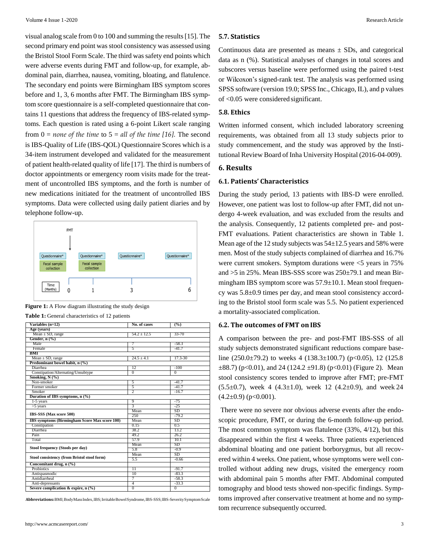visual analog scale from 0 to 100 and summing the results[15]. The second primary end point was stool consistency was assessed using the Bristol Stool Form Scale. The third wassafety end points which were adverse events during FMT and follow-up, for example, abdominal pain, diarrhea, nausea, vomiting, bloating, and flatulence. The secondary end points were Birmingham IBS symptom scores before and 1, 3, 6 months after FMT. The Birmingham IBS symptom score questionnaire is a self-completed questionnaire that contains 11 questions that address the frequency of IBS-related symptoms. Each question is rated using a 6-point Likert scale ranging from 0 = *none of the time* to 5 = *all of the time [16].* The second is IBS-Quality of Life (IBS-QOL) Questionnaire Scores which is a 34-item instrument developed and validated for the measurement of patient health-related quality of life [17]. The third is numbers of doctor appointments or emergency room visits made for the treatment of uncontrolled IBS symptoms, and the forth is number of new medications initiated for the treatment of uncontrolled IBS symptoms. Data were collected using daily patient diaries and by telephone follow-up.



**Figure 1:** A Flow diagram illustrating the study design

|  | <b>Table 1:</b> General characteristics of 12 patients |  |
|--|--------------------------------------------------------|--|
|--|--------------------------------------------------------|--|

| Variables (n=12)                              | No. of cases    | $\overline{(^{0}_{0}})$ |  |  |  |  |
|-----------------------------------------------|-----------------|-------------------------|--|--|--|--|
| Age (vears)                                   |                 |                         |  |  |  |  |
| Mean $\pm$ SD, range                          | $54.2 \pm 12.5$ | $33 - 70$               |  |  |  |  |
| Gender, $n$ $(\%)$                            |                 |                         |  |  |  |  |
| Male                                          | 7               | $-58.3$                 |  |  |  |  |
| Female                                        | 5               | $-41.7$                 |  |  |  |  |
| BMI                                           |                 |                         |  |  |  |  |
| Mean $\pm$ SD, range                          | $24.5 \pm 4.1$  | 17.3-30                 |  |  |  |  |
| Predominant bowel habit, n (%)                |                 |                         |  |  |  |  |
| Diarrhea                                      | 12              | $-100$                  |  |  |  |  |
| Constipation/Alternating/Unsubtype            | $\overline{0}$  | $\overline{0}$          |  |  |  |  |
| Smoking, N (%)                                |                 |                         |  |  |  |  |
| Non-smoker                                    | 5               | $-41.7$                 |  |  |  |  |
| Former smoker                                 | 5               | $-41.7$                 |  |  |  |  |
| Smoker                                        | 2               | $-16.7$                 |  |  |  |  |
| Duration of IBS symptoms, n (%)               |                 |                         |  |  |  |  |
| 1-5 years                                     | 9               | $-75$                   |  |  |  |  |
| $>5$ years                                    | $\overline{3}$  | $-25$                   |  |  |  |  |
|                                               | Mean            | <b>SD</b>               |  |  |  |  |
| IBS-SSS (Max score 500)                       | 250             | $-79.2$                 |  |  |  |  |
| IBS symptoms (Birmingham Score Max score 100) | Mean            | SD                      |  |  |  |  |
| Constipation                                  | 0.15            | 0.5                     |  |  |  |  |
| Diarrhea                                      | 38.2            | 13.2                    |  |  |  |  |
| Pain                                          | 49.2            | 26.2                    |  |  |  |  |
| Total                                         | 57.9            | 10.1                    |  |  |  |  |
|                                               | Mean            | SD                      |  |  |  |  |
| Stool frequency (Stools per day)              | 5.8             | $-0.9$                  |  |  |  |  |
|                                               | Mean            | <b>SD</b>               |  |  |  |  |
| Stool consistency (from Bristol stool form)   | 5.5             | $-0.66$                 |  |  |  |  |
| Concomitant drug, n (%)                       |                 |                         |  |  |  |  |
| Probiotics                                    | $\overline{11}$ | $-91.7$                 |  |  |  |  |
| Antispasmodic                                 | 10              | $-83.3$                 |  |  |  |  |
| Antidiarrheal                                 | 7               | $-58.3$                 |  |  |  |  |
| Anti-depressants                              | 4               | $-33.3$                 |  |  |  |  |
| Severe complication & expire, $n$ (%)         | $^{0}$          | $^{0}$                  |  |  |  |  |

**Abbreviations:**BMI;BodyMassIndex,IBS;IrritableBowelSyndrome,IBS-SSS;IBS-SeveritySymptomScale

#### **5.7. Statistics**

Continuous data are presented as means  $\pm$  SDs, and categorical data as n (%). Statistical analyses of changes in total scores and subscores versus baseline were performed using the paired t-test or Wilcoxon's signed-rank test. The analysis was performed using SPSS software (version 19.0; SPSS Inc., Chicago, IL), and p values of <0.05 were considered significant.

#### **5.8. Ethics**

Written informed consent, which included laboratory screening requirements, was obtained from all 13 study subjects prior to study commencement, and the study was approved by the Institutional Review Board of Inha University Hospital (2016-04-009).

#### **6. Results**

#### **6.1. Patients' Characteristics**

During the study period, 13 patients with IBS-D were enrolled. However, one patient was lost to follow-up after FMT, did not undergo 4-week evaluation, and was excluded from the results and the analysis. Consequently, 12 patients completed pre- and post-FMT evaluations. Patient characteristics are shown in Table 1. Mean age of the 12 study subjects was  $54\pm12.5$  years and 58% were men. Most of the study subjects complained of diarrhea and 16.7% were current smokers. Symptom durations were <5 years in 75% and >5 in 25%. Mean IBS-SSS score was 250±79.1 and mean Birmingham IBS symptom score was  $57.9 \pm 10.1$ . Mean stool frequency was 5.8±0.9 times per day, and mean stool consistency according to the Bristol stool form scale was 5.5. No patient experienced a mortality-associated complication.

#### **6.2. The outcomes of FMT onIBS**

A comparison between the pre- and post-FMT IBS-SSS of all study subjects demonstrated significant reductions compare baseline (250.0 $\pm$ 79.2) to weeks 4 (138.3 $\pm$ 100.7) (p<0.05), 12 (125.8)  $\pm 88.7$ ) (p<0.01), and 24 (124.2  $\pm 91.8$ ) (p<0.01) (Figure 2). Mean stool consistency scores tended to improve after FMT; pre-FMT  $(5.5\pm0.7)$ , week 4  $(4.3\pm1.0)$ , week 12  $(4.2\pm0.9)$ , and week 24  $(4.2\pm0.9)$  (p<0.001).

There were no severe nor obvious adverse events after the endoscopic procedure, FMT, or during the 6-month follow-up period. The most common symptom was flatulence (33%, 4/12), but this disappeared within the first 4 weeks. Three patients experienced abdominal bloating and one patient borborygmus, but all recovered within 4 weeks. One patient, whose symptoms were well controlled without adding new drugs, visited the emergency room with abdominal pain 5 months after FMT. Abdominal computed tomography and blood tests showed non-specific findings. Symptoms improved after conservative treatment at home and no symptom recurrence subsequently occurred.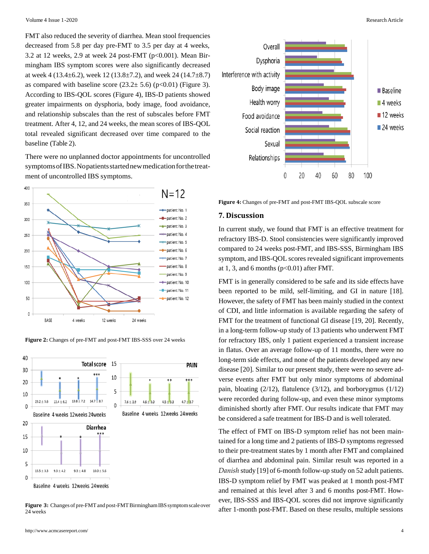FMT also reduced the severity of diarrhea. Mean stool frequencies decreased from 5.8 per day pre-FMT to 3.5 per day at 4 weeks, 3.2 at 12 weeks, 2.9 at week 24 post-FMT ( $p<0.001$ ). Mean Birmingham IBS symptom scores were also significantly decreased at week 4 (13.4 $\pm$ 6.2), week 12 (13.8 $\pm$ 7.2), and week 24 (14.7 $\pm$ 8.7) as compared with baseline score  $(23.2 \pm 5.6)$  (p<0.01) (Figure 3). According to IBS-QOL scores (Figure 4), IBS-D patients showed greater impairments on dysphoria, body image, food avoidance, and relationship subscales than the rest of subscales before FMT treatment. After 4, 12, and 24 weeks, the mean scores of IBS-QOL total revealed significant decreased over time compared to the baseline (Table 2).

There were no unplanned doctor appointments for uncontrolled symptomsofIBS.Nopatientsstartednewmedicationforthetreatment of uncontrolled IBS symptoms.



**Figure 2:** Changes of pre-FMT and post-FMT IBS-SSS over 24 weeks



Baseline 4 weeks 12weeks 24weeks

**Figure 3:** Changes of pre-FMT and post-FMT Birmingham IBS symptom scale over 24 weeks



**Figure 4:** Changes of pre-FMT and post-FMT IBS-QOL subscale score

#### **7. Discussion**

In current study, we found that FMT is an effective treatment for refractory IBS-D. Stool consistencies were significantly improved compared to 24 weeks post-FMT, and IBS-SSS, Birmingham IBS symptom, and IBS-QOL scores revealed significant improvements at 1, 3, and 6 months  $(p<0.01)$  after FMT.

FMT is in generally considered to be safe and its side effects have been reported to be mild, self-limiting, and GI in nature [18]. However, the safety of FMT has been mainly studied in the context of CDI, and little information is available regarding the safety of FMT for the treatment of functional GI disease [19, 20]. Recently, in a long-term follow-up study of 13 patients who underwent FMT for refractory IBS, only 1 patient experienced a transient increase in flatus. Over an average follow-up of 11 months, there were no long-term side effects, and none of the patients developed any new disease [20]. Similar to our present study, there were no severe adverse events after FMT but only minor symptoms of abdominal pain, bloating (2/12), flatulence (3/12), and borborygmus (1/12) were recorded during follow-up, and even these minor symptoms diminished shortly after FMT. Our results indicate that FMT may be considered a safe treatment for IBS-D and is well tolerated.

The effect of FMT on IBS-D symptom relief has not been maintained for a long time and 2 patients of IBS-D symptoms regressed to their pre-treatment states by 1 month after FMT and complained of diarrhea and abdominal pain. Similar result was reported in a *Danish* study [19] of 6-month follow-up study on 52 adult patients. IBS-D symptom relief by FMT was peaked at 1 month post-FMT and remained at this level after 3 and 6 months post-FMT. However, IBS-SSS and IBS-QOL scores did not improve significantly after 1-month post-FMT. Based on these results, multiple sessions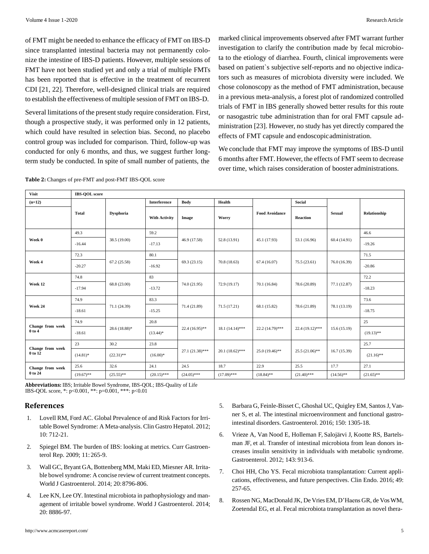of FMT might be needed to enhance the efficacy of FMT on IBS-D since transplanted intestinal bacteria may not permanently colonize the intestine of IBS-D patients. However, multiple sessions of FMT have not been studied yet and only a trial of multiple FMTs has been reported that is effective in the treatment of recurrent CDI [21, 22]. Therefore, well-designed clinical trials are required to establish the effectiveness of multiple session of FMT on IBS-D.

Several limitations of the present study require consideration. First, though a prospective study, it was performed only in 12 patients, which could have resulted in selection bias. Second, no placebo control group was included for comparison. Third, follow-up was conducted for only 6 months, and thus, we suggest further longterm study be conducted. In spite of small number of patients, the

marked clinical improvements observed after FMT warrant further investigation to clarify the contribution made by fecal microbiota to the etiology of diarrhea. Fourth, clinical improvements were based on patient`s subjective self-reports and no objective indicators such as measures of microbiota diversity were included. We chose colonoscopy as the method of FMT administration, because in a previous meta-analysis, a forest plot of randomized controlled trials of FMT in IBS generally showed better results for this route or nasogastric tube administration than for oral FMT capsule administration [23]. However, no study has yet directly compared the effects of FMT capsule and endoscopicadministration.

We conclude that FMT may improve the symptoms of IBS-D until 6 months after FMT. However, the effects of FMT seem to decrease over time, which raises consideration of booster administrations.

| Table 2: Changes of pre-FMT and post-FMT IBS-QOL score |  |  |
|--------------------------------------------------------|--|--|
|                                                        |  |  |

| <b>Visit</b>                | <b>IBS-OOL</b> score |                  |                      |                   |                    |                       |                   |               |              |
|-----------------------------|----------------------|------------------|----------------------|-------------------|--------------------|-----------------------|-------------------|---------------|--------------|
| $(n=12)$                    |                      |                  | <b>Interference</b>  | Body              | Health             |                       | Social            |               |              |
|                             | <b>Total</b>         | <b>Dysphoria</b> | <b>With Activity</b> | Image             | Worry              | <b>Food Avoidance</b> | <b>Reaction</b>   | <b>Sexual</b> | Relationship |
| Week 0                      | 49.3                 | 38.5 (19.00)     | 59.2                 | 46.9 (17.58)      | 52.8 (13.91)       | 45.1 (17.93)          | 53.1 (16.96)      | 60.4 (14.91)  | 46.6         |
|                             | $-16.44$             |                  | $-17.13$             |                   |                    |                       |                   |               | $-19.26$     |
| Week 4                      | 72.3                 | 67.2(25.58)      | 80.1                 | 69.3(23.15)       | 70.8(18.63)        | 67.4(16.07)           | 75.5(23.61)       | 76.0 (16.39)  | 71.5         |
|                             | $-20.27$             |                  | $-16.92$             |                   |                    |                       |                   |               | $-20.86$     |
| Week 12                     | 74.8                 | 68.8 (23.00)     | 83                   | 74.0(21.95)       | 72.9 (19.17)       | 70.1(16.84)           | 78.6 (20.89)      | 77.1 (12.87)  | 72.2         |
|                             | $-17.94$             |                  | $-13.72$             |                   |                    |                       |                   |               | $-18.23$     |
| Week 24                     | 74.9                 | 71.1 (24.39)     | 83.3                 | 71.4 (21.89)      | 71.5(17.21)        | 68.1 (15.82)          | 78.6 (21.89)      | 78.1 (13.19)  | 73.6         |
|                             | $-18.61$             |                  | $-15.25$             |                   |                    |                       |                   |               | $-18.75$     |
| Change from week<br>0 to 4  | 74.9                 | $28.6(18.88)$ *  | 20.8                 | $22.4(16.95)$ **  | $18.1 (14.14)$ *** | 22.2 (14.79)***       | $22.4(19.12)$ *** | 15.6(15.19)   | 25           |
|                             | $-18.61$             |                  | $(13.44)$ *          |                   |                    |                       |                   |               | $(19.13)$ ** |
| Change from week<br>0 to 12 | 23                   | 30.2             | 23.8                 | $27.1(21.38)$ *** | $20.1(18.62)$ ***  | $25.0(19.46)$ **      | $25.5(21.06)$ **  | 16.7(15.39)   | 25.7         |
|                             | $(14.81)^*$          | $(22.31)$ **     | $(16.00)*$           |                   |                    |                       |                   |               | $(21.16)$ ** |
| Change from week<br>0 to 24 | 25.6                 | 32.6             | 24.1                 | 24.5              | 18.7               | 22.9                  | 25.5              | 17.7          | 27.1         |
|                             | $(19.67)$ **         | $(25.55)$ **     | $(20.15)$ ***        | $(24.05)$ ***     | $(17.09)$ ***      | $(18.84)$ **          | $(21.40)$ ***     | $(14.56)$ **  | $(21.65)$ ** |

**Abbreviations:** IBS; Irritable Bowel Syndrome, IBS-QOL; IBS-Quality of Life IBS-QOL score, \*: p<0.001, \*\*: p=0.001, \*\*\*: p<0.01

#### **References**

- 1. Lovell RM, Ford AC. Global [Prevalence](https://www.ncbi.nlm.nih.gov/pubmed/22426087) of and Risk Factors for Irritable Bowel Syndrome: A Meta-analysis. Clin Gastro Hepatol. 2012[;](https://www.ncbi.nlm.nih.gov/pubmed/22426087) 10: [712-21.](https://www.ncbi.nlm.nih.gov/pubmed/22426087)
- 2. [Spiegel BM. The burden of IBS: looking at metrics. Curr Gastroen](https://www.ncbi.nlm.nih.gov/pubmed/19615301)terol Rep. 2009; 11: 265-9.
- 3. Wall GC, Bryant GA, [Bottenberg](https://www.ncbi.nlm.nih.gov/pubmed/25083054) MM, Maki ED, Miesner AR. Irrita[-](https://www.ncbi.nlm.nih.gov/pubmed/25083054)ble bowel syndrome: A concise review of current treatment concepts[.](https://www.ncbi.nlm.nih.gov/pubmed/25083054) [World J Gastroenterol. 2014; 20:8796-806.](https://www.ncbi.nlm.nih.gov/pubmed/25083054)
- 4. Lee KN, Lee OY.Intestinal microbiota in [pathophysiology](https://www.ncbi.nlm.nih.gov/pubmed/25083061) and management of irritable bowel syndrome. World J Gastroenterol. 2014[;](https://www.ncbi.nlm.nih.gov/pubmed/25083061) 20: [8886-97.](https://www.ncbi.nlm.nih.gov/pubmed/25083061)
- 5. Barbara G, [Feinle-Bisset](https://www.ncbi.nlm.nih.gov/pubmed/27144620) C, Ghoshal UC, Quigley EM, SantosJ, Vanner S, et al. The intestinal microenvironment and functional gastrointestinal disorders. [Gastroenterol.](https://www.ncbi.nlm.nih.gov/pubmed/27144620) 2016; 150: 1305-18.
- 6. [Vrieze A, Van Nood E, Holleman F, Salojärvi J, Kootte RS, Bartels](https://www.ncbi.nlm.nih.gov/pubmed/22728514)man JF, et al. Transfer of intestinal microbiota from lean donors in[creases insulin sensitivity in individuals with metabolic syndrome.](https://www.ncbi.nlm.nih.gov/pubmed/22728514) Gastroenterol. 2012; 143: 913-6.
- 7. [Choi HH, Cho YS. Fecal microbiota transplantation: Current appli](https://www.ncbi.nlm.nih.gov/pubmed/26956193)cations, effectiveness, and future perspectives. Clin Endo. 2016; 49[:](https://www.ncbi.nlm.nih.gov/pubmed/26956193) [257-65.](https://www.ncbi.nlm.nih.gov/pubmed/26956193)
- 8. Rossen NG, [MacDonald](https://www.ncbi.nlm.nih.gov/pubmed/25954111) JK, De VriesEM, D'Haens GR, de VosWM[,](https://www.ncbi.nlm.nih.gov/pubmed/25954111) Zoetendal EG, et al. Fecal microbiota transplantation as novel thera-